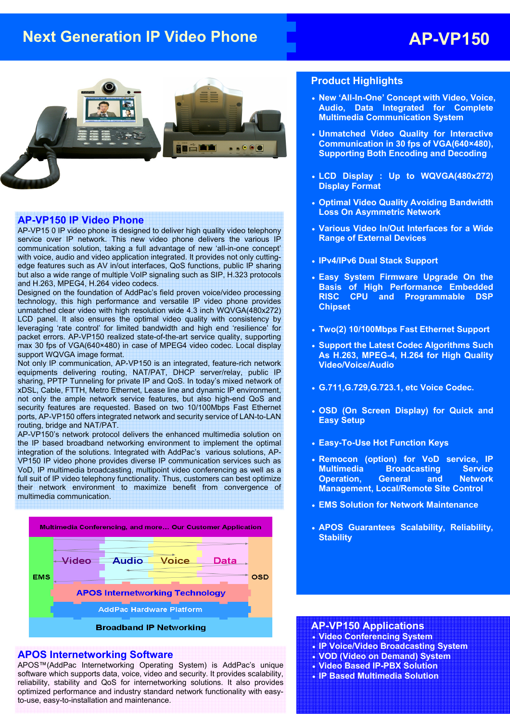## **Next Generation IP Video Phone AP-VP150**



#### **AP-VP150 IP Video Phone**

AP-VP15 0 IP video phone is designed to deliver high quality video telephony service over IP network. This new video phone delivers the various IP communication solution, taking a full advantage of new 'all-in-one concept' with voice, audio and video application integrated. It provides not only cuttingedge features such as AV in/out interfaces, QoS functions, public IP sharing but also a wide range of multiple VoIP signaling such as SIP, H.323 protocols and H.263, MPEG4, H.264 video codecs.

Designed on the foundation of AddPac's field proven voice/video processing technology, this high performance and versatile IP video phone provides unmatched clear video with high resolution wide 4.3 inch WQVGA(480x272) LCD panel. It also ensures the optimal video quality with consistency by leveraging 'rate control' for limited bandwidth and high end 'resilience' for packet errors. AP-VP150 realized state-of-the-art service quality, supporting max 30 fps of VGA(640×480) in case of MPEG4 video codec. Local display support WQVGA image format.

Not only IP communication, AP-VP150 is an integrated, feature-rich network equipments delivering routing, NAT/PAT, DHCP server/relay, public IP sharing, PPTP Tunneling for private IP and QoS. In today's mixed network of xDSL, Cable, FTTH, Metro Ethernet, Lease line and dynamic IP environment, not only the ample network service features, but also high-end QoS and security features are requested. Based on two 10/100Mbps Fast Ethernet ports, AP-VP150 offers integrated network and security service of LAN-to-LAN routing, bridge and NAT/PAT.

AP-VP150's network protocol delivers the enhanced multimedia solution on the IP based broadband networking environment to implement the optimal integration of the solutions. Integrated with AddPac's various solutions, AP-VP150 IP video phone provides diverse IP communication services such as VoD, IP multimedia broadcasting, multipoint video conferencing as well as a full suit of IP video telephony functionality. Thus, customers can best optimize their network environment to maximize benefit from convergence of multimedia communication.



#### **APOS Internetworking Software**

APOS™(AddPac Internetworking Operating System) is AddPac's unique software which supports data, voice, video and security. It provides scalability, reliability, stability and QoS for internetworking solutions. It also provides optimized performance and industry standard network functionality with easyto-use, easy-to-installation and maintenance.

#### **Product Highlights**

- **New 'All-In-One' Concept with Video, Voice, Audio, Data Integrated for Complete Multimedia Communication System**
- **Unmatched Video Quality for Interactive Communication in 30 fps of VGA(640×480), Supporting Both Encoding and Decoding**
- **LCD Display : Up to WQVGA(480x272) Display Format**
- **Optimal Video Quality Avoiding Bandwidth Loss On Asymmetric Network**
- **Various Video In/Out Interfaces for a Wide Range of External Devices**
- **IPv4/IPv6 Dual Stack Support**
- **Easy System Firmware Upgrade On the Basis of High Performance Embedded RISC CPU and Programmable DSP Chipset**
- **Two(2) 10/100Mbps Fast Ethernet Support**
- **Support the Latest Codec Algorithms Such As H.263, MPEG-4, H.264 for High Quality Video/Voice/Audio**
- **G.711,G.729,G.723.1, etc Voice Codec.**
- **OSD (On Screen Display) for Quick and Easy Setup**
- **Easy-To-Use Hot Function Keys**
- **Remocon (option) for VoD service, IP Multimedia Broadcasting Service Operation, General and Network Management, Local/Remote Site Control**
- **EMS Solution for Network Maintenance**
- **APOS Guarantees Scalability, Reliability, Stability**

#### **AP-VP150 Applications**

- **Video Conferencing System**
- **IP Voice/Video Broadcasting System**
- **VOD (Video on Demand) System**
- **Video Based IP-PBX Solution**
- **IP Based Multimedia Solution**